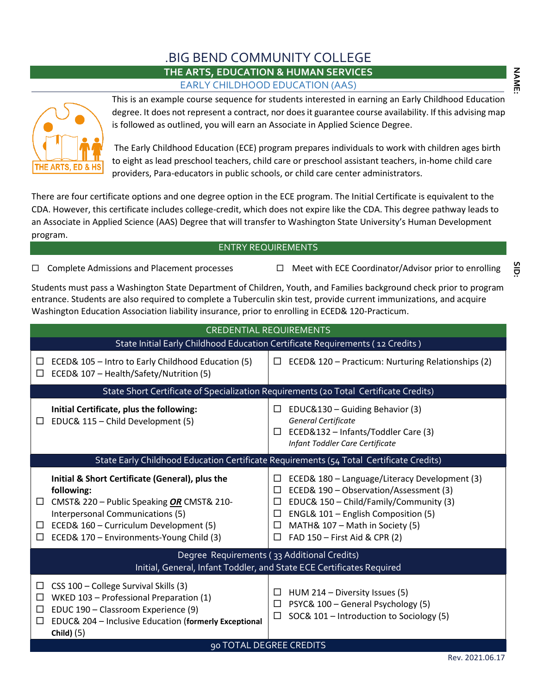### .BIG BEND COMMUNITY COLLEGE **THE ARTS, EDUCATION & HUMAN SERVICES** EARLY CHILDHOOD EDUCATION (AAS)



This is an example course sequence for students interested in earning an Early Childhood Education degree. It does not represent a contract, nor does it guarantee course availability. If this advising map is followed as outlined, you will earn an Associate in Applied Science Degree.

The Early Childhood Education (ECE) program prepares individuals to work with children ages birth to eight as lead preschool teachers, child care or preschool assistant teachers, in-home child care providers, Para-educators in public schools, or child care center administrators.

There are four certificate options and one degree option in the ECE program. The Initial Certificate is equivalent to the CDA. However, this certificate includes college-credit, which does not expire like the CDA. This degree pathway leads to an Associate in Applied Science (AAS) Degree that will transfer to Washington State University's Human Development program.

### ENTRY REQUIREMENTS

 $\Box$  Complete Admissions and Placement processes  $\Box$  Meet with ECE Coordinator/Advisor prior to enrolling

Students must pass a Washington State Department of Children, Youth, and Families background check prior to program entrance. Students are also required to complete a Tuberculin skin test, provide current immunizations, and acquire Washington Education Association liability insurance, prior to enrolling in ECED& 120-Practicum.

| <b>CREDENTIAL REQUIREMENTS</b>                                                                                                                                                                                                                                     |                                                                                                                                                                                                                                                                                           |  |  |  |  |  |
|--------------------------------------------------------------------------------------------------------------------------------------------------------------------------------------------------------------------------------------------------------------------|-------------------------------------------------------------------------------------------------------------------------------------------------------------------------------------------------------------------------------------------------------------------------------------------|--|--|--|--|--|
|                                                                                                                                                                                                                                                                    | State Initial Early Childhood Education Certificate Requirements (12 Credits)                                                                                                                                                                                                             |  |  |  |  |  |
| ECED& 105 - Intro to Early Childhood Education (5)<br>ப<br>ECED& 107 - Health/Safety/Nutrition (5)<br>$\Box$                                                                                                                                                       | $\Box$<br>ECED& 120 - Practicum: Nurturing Relationships (2)                                                                                                                                                                                                                              |  |  |  |  |  |
|                                                                                                                                                                                                                                                                    | State Short Certificate of Specialization Requirements (20 Total Certificate Credits)                                                                                                                                                                                                     |  |  |  |  |  |
| Initial Certificate, plus the following:<br>EDUC& 115 - Child Development (5)<br>□                                                                                                                                                                                 | EDUC&130 - Guiding Behavior (3)<br>$\Box$<br>General Certificate<br>ECED&132 - Infants/Toddler Care (3)<br>$\Box$<br>Infant Toddler Care Certificate                                                                                                                                      |  |  |  |  |  |
|                                                                                                                                                                                                                                                                    | State Early Childhood Education Certificate Requirements (54 Total Certificate Credits)                                                                                                                                                                                                   |  |  |  |  |  |
| Initial & Short Certificate (General), plus the<br>following:<br>CMST& 220 - Public Speaking OR CMST& 210-<br>$\Box$<br>Interpersonal Communications (5)<br>ECED& 160 - Curriculum Development (5)<br>$\Box$<br>ECED& 170 - Environments-Young Child (3)<br>$\Box$ | ECED& 180 - Language/Literacy Development (3)<br>$\Box$<br>ECED& 190 - Observation/Assessment (3)<br>□<br>EDUC& 150 - Child/Family/Community (3)<br>□<br>ENGL& 101 - English Composition (5)<br>□<br>MATH& 107 - Math in Society (5)<br>$\Box$<br>FAD 150 - First Aid & CPR (2)<br>$\Box$ |  |  |  |  |  |
| Degree Requirements (33 Additional Credits)<br>Initial, General, Infant Toddler, and State ECE Certificates Required                                                                                                                                               |                                                                                                                                                                                                                                                                                           |  |  |  |  |  |
| CSS 100 - College Survival Skills (3)<br>□<br>WKED 103 - Professional Preparation (1)<br>□<br>EDUC 190 - Classroom Experience (9)<br>$\Box$<br>EDUC& 204 - Inclusive Education (formerly Exceptional<br>$\Box$<br>Child $(5)$                                      | HUM 214 - Diversity Issues (5)<br>$\Box$<br>PSYC& 100 - General Psychology (5)<br>□<br>SOC& 101 - Introduction to Sociology (5)<br>□                                                                                                                                                      |  |  |  |  |  |
|                                                                                                                                                                                                                                                                    | 90 TOTAL DEGREE CREDITS<br>$P_{\alpha V}$ 2021 06 17                                                                                                                                                                                                                                      |  |  |  |  |  |

GID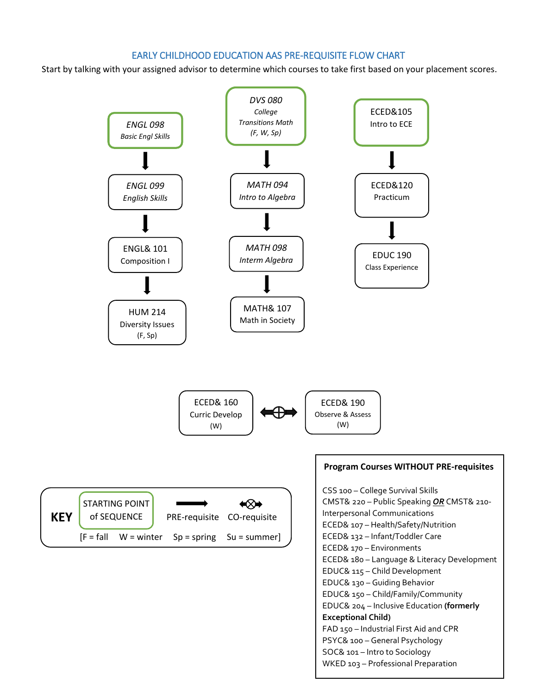### EARLY CHILDHOOD EDUCATION AAS PRE-REQUISITE FLOW CHART

Start by talking with your assigned advisor to determine which courses to take first based on your placement scores.

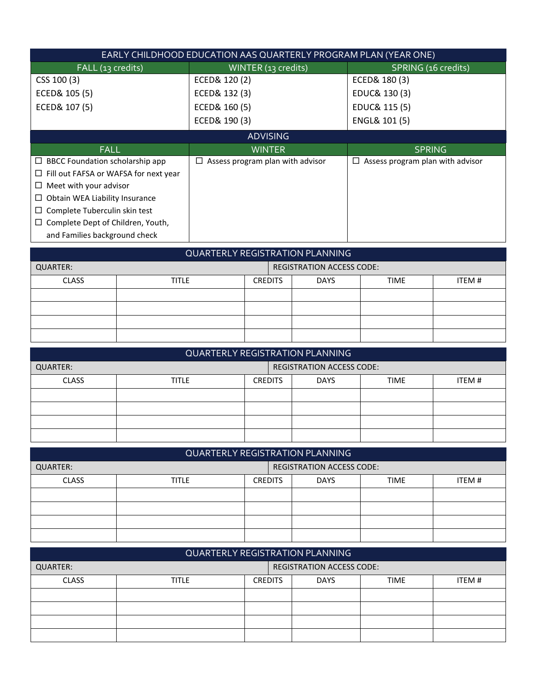| EARLY CHILDHOOD EDUCATION AAS QUARTERLY PROGRAM PLAN (YEAR ONE) |                                       |                                       |  |  |  |  |
|-----------------------------------------------------------------|---------------------------------------|---------------------------------------|--|--|--|--|
| FALL (13 credits)                                               | WINTER (13 credits)                   | SPRING (16 credits)                   |  |  |  |  |
| CSS 100 (3)                                                     | ECED& 120 (2)                         | ECED& 180 (3)                         |  |  |  |  |
| ECED& 105 (5)                                                   | ECED& 132 (3)                         | EDUC& 130 (3)                         |  |  |  |  |
| ECED& 107 (5)                                                   | ECED& 160 (5)                         | EDUC& 115 (5)                         |  |  |  |  |
|                                                                 | ECED& 190 (3)                         | ENGL& 101 (5)                         |  |  |  |  |
|                                                                 | <b>ADVISING</b>                       |                                       |  |  |  |  |
|                                                                 |                                       |                                       |  |  |  |  |
| <b>FALL</b>                                                     | <b>WINTER</b>                         | <b>SPRING</b>                         |  |  |  |  |
| $\Box$ BBCC Foundation scholarship app                          | Assess program plan with advisor<br>ப | Assess program plan with advisor<br>⊔ |  |  |  |  |
| Fill out FAFSA or WAFSA for next year<br>⊔                      |                                       |                                       |  |  |  |  |
| Meet with your advisor<br>⊔                                     |                                       |                                       |  |  |  |  |
| Obtain WEA Liability Insurance<br>⊔                             |                                       |                                       |  |  |  |  |
| Complete Tuberculin skin test<br>Ц                              |                                       |                                       |  |  |  |  |
| Complete Dept of Children, Youth,                               |                                       |                                       |  |  |  |  |

| QUARTERLY REGISTRATION PLANNING              |              |                |             |             |        |
|----------------------------------------------|--------------|----------------|-------------|-------------|--------|
| <b>REGISTRATION ACCESS CODE:</b><br>QUARTER: |              |                |             |             |        |
| <b>CLASS</b>                                 | <b>TITLE</b> | <b>CREDITS</b> | <b>DAYS</b> | <b>TIME</b> | ITEM # |
|                                              |              |                |             |             |        |
|                                              |              |                |             |             |        |
|                                              |              |                |             |             |        |
|                                              |              |                |             |             |        |

| QUARTERLY REGISTRATION PLANNING |              |                                                        |                                  |  |  |
|---------------------------------|--------------|--------------------------------------------------------|----------------------------------|--|--|
| QUARTER:                        |              |                                                        | <b>REGISTRATION ACCESS CODE:</b> |  |  |
| <b>CLASS</b>                    | <b>TITLE</b> | ITEM #<br><b>CREDITS</b><br><b>DAYS</b><br><b>TIME</b> |                                  |  |  |
|                                 |              |                                                        |                                  |  |  |
|                                 |              |                                                        |                                  |  |  |
|                                 |              |                                                        |                                  |  |  |
|                                 |              |                                                        |                                  |  |  |

| QUARTERLY REGISTRATION PLANNING |              |                |  |                                  |             |        |
|---------------------------------|--------------|----------------|--|----------------------------------|-------------|--------|
| QUARTER:                        |              |                |  | <b>REGISTRATION ACCESS CODE:</b> |             |        |
| <b>CLASS</b>                    | <b>TITLE</b> | <b>CREDITS</b> |  | <b>DAYS</b>                      | <b>TIME</b> | ITEM # |
|                                 |              |                |  |                                  |             |        |
|                                 |              |                |  |                                  |             |        |
|                                 |              |                |  |                                  |             |        |
|                                 |              |                |  |                                  |             |        |

| <b>QUARTERLY REGISTRATION PLANNING</b> |                                  |                                                        |  |  |  |
|----------------------------------------|----------------------------------|--------------------------------------------------------|--|--|--|
| QUARTER:                               | <b>REGISTRATION ACCESS CODE:</b> |                                                        |  |  |  |
| <b>CLASS</b>                           | <b>TITLE</b>                     | <b>DAYS</b><br><b>TIME</b><br>ITEM #<br><b>CREDITS</b> |  |  |  |
|                                        |                                  |                                                        |  |  |  |
|                                        |                                  |                                                        |  |  |  |
|                                        |                                  |                                                        |  |  |  |
|                                        |                                  |                                                        |  |  |  |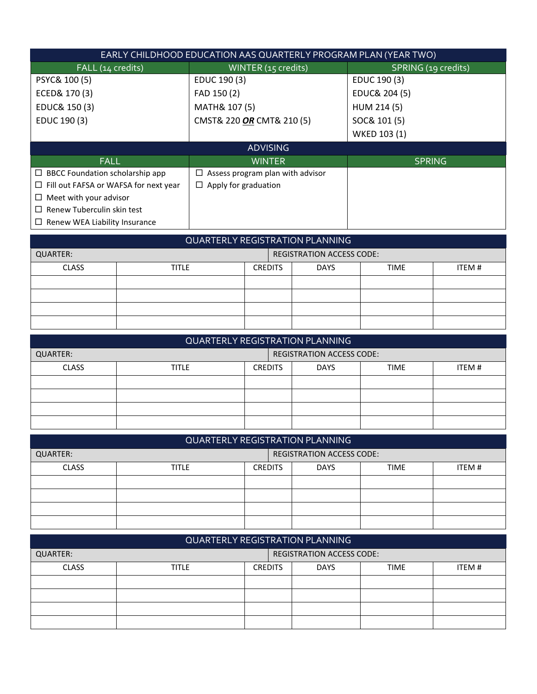| EARLY CHILDHOOD EDUCATION AAS QUARTERLY PROGRAM PLAN (YEAR TWO) |                                       |                     |  |  |  |  |
|-----------------------------------------------------------------|---------------------------------------|---------------------|--|--|--|--|
| FALL (14 credits)                                               | WINTER (15 credits)                   | SPRING (19 credits) |  |  |  |  |
| PSYC& 100 (5)                                                   | EDUC 190 (3)                          | EDUC 190 (3)        |  |  |  |  |
| ECED& 170 (3)                                                   | FAD 150 (2)                           | EDUC& 204 (5)       |  |  |  |  |
| EDUC& 150 (3)                                                   | MATH& 107 (5)                         | HUM 214 (5)         |  |  |  |  |
| EDUC 190 (3)                                                    | CMST& 220 OR CMT& 210 (5)             | SOC& 101 (5)        |  |  |  |  |
|                                                                 |                                       | WKED 103 (1)        |  |  |  |  |
|                                                                 | <b>ADVISING</b>                       |                     |  |  |  |  |
| <b>FALL</b>                                                     | <b>WINTER</b>                         | <b>SPRING</b>       |  |  |  |  |
| $\Box$ BBCC Foundation scholarship app                          | Assess program plan with advisor<br>⊔ |                     |  |  |  |  |
| Fill out FAFSA or WAFSA for next year<br>⊔                      | $\Box$ Apply for graduation           |                     |  |  |  |  |
| $\Box$ Meet with your advisor                                   |                                       |                     |  |  |  |  |
| Renew Tuberculin skin test<br>$\Box$                            |                                       |                     |  |  |  |  |
| $\Box$ Renew WEA Liability Insurance                            |                                       |                     |  |  |  |  |

| QUARTERLY REGISTRATION PLANNING |                                  |                                                        |  |  |  |
|---------------------------------|----------------------------------|--------------------------------------------------------|--|--|--|
| QUARTER:                        | <b>REGISTRATION ACCESS CODE:</b> |                                                        |  |  |  |
| <b>CLASS</b>                    | <b>TITLE</b>                     | <b>DAYS</b><br>ITEM #<br><b>TIME</b><br><b>CREDITS</b> |  |  |  |
|                                 |                                  |                                                        |  |  |  |
|                                 |                                  |                                                        |  |  |  |
|                                 |                                  |                                                        |  |  |  |
|                                 |                                  |                                                        |  |  |  |

| <b>QUARTERLY REGISTRATION PLANNING</b> |              |                                                        |                                  |  |  |
|----------------------------------------|--------------|--------------------------------------------------------|----------------------------------|--|--|
| QUARTER:                               |              |                                                        | <b>REGISTRATION ACCESS CODE:</b> |  |  |
| <b>CLASS</b>                           | <b>TITLE</b> | ITEM #<br><b>CREDITS</b><br><b>DAYS</b><br><b>TIME</b> |                                  |  |  |
|                                        |              |                                                        |                                  |  |  |
|                                        |              |                                                        |                                  |  |  |
|                                        |              |                                                        |                                  |  |  |
|                                        |              |                                                        |                                  |  |  |

| <b>QUARTERLY REGISTRATION PLANNING</b> |                                  |                                                        |  |  |  |
|----------------------------------------|----------------------------------|--------------------------------------------------------|--|--|--|
| QUARTER:                               | <b>REGISTRATION ACCESS CODE:</b> |                                                        |  |  |  |
| <b>CLASS</b>                           | <b>TITLE</b>                     | <b>TIME</b><br><b>CREDITS</b><br><b>DAYS</b><br>ITEM # |  |  |  |
|                                        |                                  |                                                        |  |  |  |
|                                        |                                  |                                                        |  |  |  |
|                                        |                                  |                                                        |  |  |  |
|                                        |                                  |                                                        |  |  |  |

| QUARTERLY REGISTRATION PLANNING              |              |                |  |             |             |        |
|----------------------------------------------|--------------|----------------|--|-------------|-------------|--------|
| <b>REGISTRATION ACCESS CODE:</b><br>QUARTER: |              |                |  |             |             |        |
| <b>CLASS</b>                                 | <b>TITLE</b> | <b>CREDITS</b> |  | <b>DAYS</b> | <b>TIME</b> | ITEM # |
|                                              |              |                |  |             |             |        |
|                                              |              |                |  |             |             |        |
|                                              |              |                |  |             |             |        |
|                                              |              |                |  |             |             |        |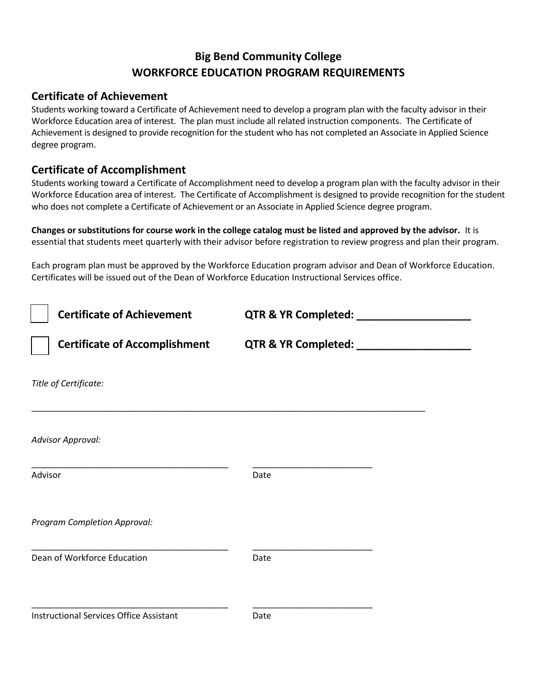### **Big Bend Community College WORKFORCE EDUCATION PROGRAM REQUIREMENTS**

### **Certificate of Achievement**

Students working toward a Certificate of Achievement need to develop a program plan with the faculty advisor in their Workforce Education area of interest. The plan must include all related instruction components. The Certificate of Achievement is designed to provide recognition for the student who has not completed an Associate in Applied Science degree program.

### **Certificate of Accomplishment**

Students working toward a Certificate of Accomplishment need to develop a program plan with the faculty advisor in their Workforce Education area of interest. The Certificate of Accomplishment is designed to provide recognition for the student who does not complete a Certificate of Achievement or an Associate in Applied Science degree program.

**Changes or substitutions for course work in the college catalog must be listed and approved by the advisor.** It is essential that students meet quarterly with their advisor before registration to review progress and plan their program.

Each program plan must be approved by the Workforce Education program advisor and Dean of Workforce Education. Certificates will be issued out of the Dean of Workforce Education Instructional Services office.

| <b>Certificate of Achievement</b>              | QTR & YR Completed: ___    |  |
|------------------------------------------------|----------------------------|--|
| <b>Certificate of Accomplishment</b>           | QTR & YR Completed: ______ |  |
| Title of Certificate:                          |                            |  |
| <b>Advisor Approval:</b>                       |                            |  |
| Advisor                                        | Date                       |  |
| Program Completion Approval:                   |                            |  |
| Dean of Workforce Education                    | Date                       |  |
| <b>Instructional Services Office Assistant</b> | Date                       |  |